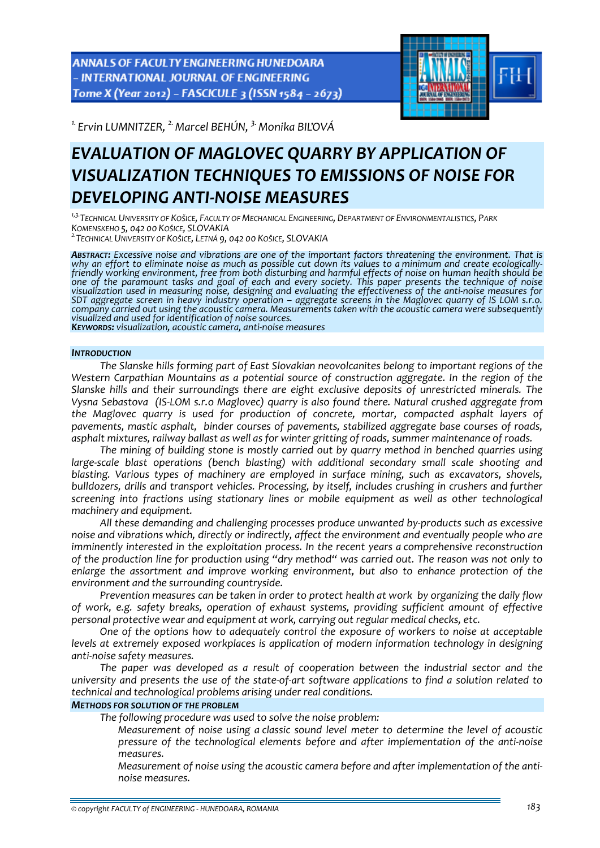ANNALS OF FACULTY ENGINEERING HUNEDOARA - INTERNATIONAL JOURNAL OF ENGINEERING Tome X (Year 2012) - FASCICULE 3 (ISSN 1584 - 2673)



<sup>1.</sup> Ervin LUMNITZER, <sup>2.</sup> Marcel BEHÚN, <sup>3.</sup> Monika BIL'OVÁ

# *EVALUATION OF MAGLOVEC QUARRY BY APPLICATION OF VISUALIZATION TECHNIQUES TO EMISSIONS OF NOISE FOR DEVELOPING ANTI‐NOISE MEASURES*

*1,3.TECHNICAL UNIVERSITY OF KOŠICE, FACULTY OF MECHANICAL ENGINEERING, DEPARTMENT OF ENVIRONMENTALISTICS, PARK*

*KOMENSKEHO 5, <sup>042</sup> <sup>00</sup> KOŠICE, SLOVAKIA 2.TECHNICAL UNIVERSITY OF KOŠICE, LETNÁ 9, <sup>042</sup> <sup>00</sup> KOŠICE, SLOVAKIA*

*ABSTRACT: Excessive noise and vibrations are one of the important factors threatening the environment. That is* why an effort to eliminate noise as much as possible cut down its values to a minimum and create ecologically-<br>friendly working environment, free from both disturbing and harmful effects of noise on human health should be one of the paramount tasks and goal of each and every society. This paper presents the technique of noise visualization used in measuring noise, designing and evaluating the effectiveness of the anti-noise measures for SDT aggregate screen in heavy industry operation – aggregate screens in the Maglovec quarry of IS LOM s.r.o. company carried out using the acoustic camera. Measurements taken with the acoustic camera were subsequently<br>visualized and used for identification of noise sources.<br>**K**ey**worps:** visualization, acoustic camera, anti-noise

## *INTRODUCTION*

*The Slanske hills forming part of East Slovakian neovolcanites belong to important regions of the Western Carpathian Mountains as a potential source of construction aggregate. In the region of the Slanske hills and their surroundings there are eight exclusive deposits of unrestricted minerals. The Vysna Sebastova (IS‐LOM s.r.o Maglovec) quarry is also found there. Natural crushed aggregate from the Maglovec quarry is used for production of concrete, mortar, compacted asphalt layers of pavements, mastic asphalt, binder courses of pavements, stabilized aggregate base courses of roads, asphalt mixtures, railway ballast as well as for winter gritting of roads, summer maintenance of roads.*

*The mining of building stone is mostly carried out by quarry method in benched quarries using large‐scale blast operations (bench blasting) with additional secondary small scale shooting and blasting. Various types of machinery are employed in surface mining, such as excavators, shovels, bulldozers, drills and transport vehicles. Processing, by itself, includes crushing in crushers and further screening into fractions using stationary lines or mobile equipment as well as other technological machinery and equipment.*

*All these demanding and challenging processes produce unwanted by‐products such as excessive noise and vibrations which, directly or indirectly, affect the environment and eventually people who are imminently interested in the exploitation process. In the recent years a comprehensive reconstruction* of the production line for production using "dry method" was carried out. The reason was not only to *enlarge the assortment and improve working environment, but also to enhance protection of the environment and the surrounding countryside.*

*Prevention measures can be taken in order to protect health at work by organizing the daily flow of work, e.g. safety breaks, operation of exhaust systems, providing sufficient amount of effective personal protective wear and equipment at work, carrying out regular medical checks, etc.*

*One of the options how to adequately control the exposure of workers to noise at acceptable levels at extremely exposed workplaces is application of modern information technology in designing anti‐noise safety measures.* 

*The paper was developed as a result of cooperation between the industrial sector and the* university and presents the use of the state-of-art software applications to find a solution related to *technical and technological problems arising under real conditions.*

## *METHODS FOR SOLUTION OF THE PROBLEM*

*The following procedure was used to solve the noise problem:*

 *Measurement of noise using a classic sound level meter to determine the level of acoustic pressure of the technological elements before and after implementation of the anti‐noise measures.*

 *Measurement of noise using the acoustic camera before and after implementation of the anti‐ noise measures.*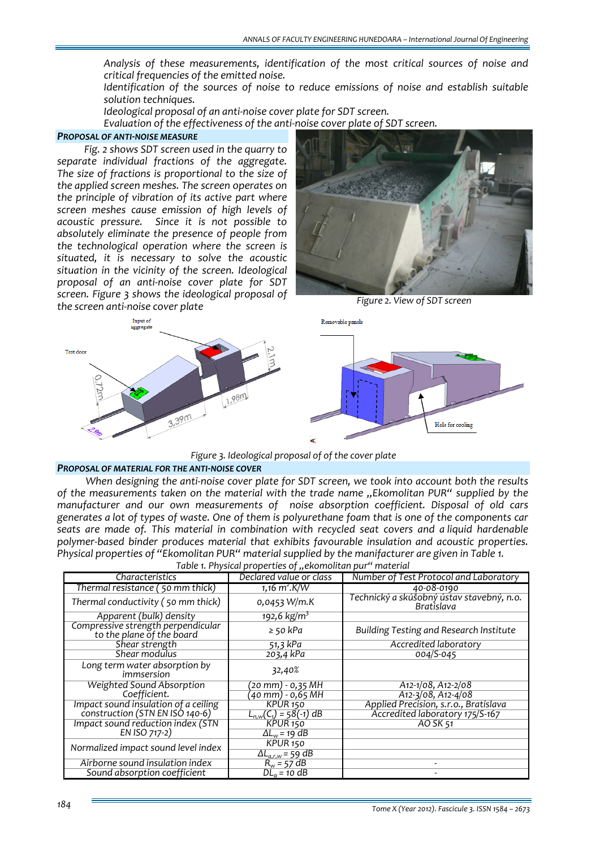*Analysis of these measurements, identification of the most critical sources of noise and critical frequencies of the emitted noise.*

 *Identification of the sources of noise to reduce emissions of noise and establish suitable solution techniques.*

*Ideological proposal of an anti‐noise cover plate for SDT screen.*

*Evaluation of the effectiveness of the anti‐noise cover plate of SDT screen.*

## *PROPOSAL OF ANTI‐NOISE MEASURE*

*Fig. 2 shows SDT screen used in the quarry to separate individual fractions of the aggregate. The size of fractions is proportional to the size of the applied screen meshes. The screen operates on the principle of vibration of its active part where screen meshes cause emission of high levels of acoustic pressure. Since it is not possible to absolutely eliminate the presence of people from the technological operation where the screen is situated, it is necessary to solve the acoustic situation in the vicinity of the screen. Ideological proposal of an anti‐noise cover plate for SDT screen. Figure 3 shows the ideological proposal of the screen anti‐noise cover plate*



*Figure 2. View of SDT screen*



*Figure 3. Ideological proposal of of the cover plate*

## *PROPOSAL OF MATERIAL FOR THE ANTI‐NOISE COVER*

*When designing the anti‐noise cover plate for SDT screen, we took into account both the results of the measurements taken on the material with the trade name "Ekomolitan PUR" supplied by the manufacturer and our own measurements of noise absorption coefficient. Disposal of old cars* generates a lot of types of waste. One of them is polyurethane foam that is one of the components car *seats are made of. This material in combination with recycled seat covers and a liquid hardenable polymer‐based binder produces material that exhibits favourable insulation and acoustic properties. Physical properties of "Ekomolitan PUR" material supplied by the manifacturer are given in Table 1. Table 1. Physical properties of "ekomolitan pur" material*

| rable i. Priysical properties of "ekomolitari pur "material"    |                                       |                                                         |  |  |  |
|-----------------------------------------------------------------|---------------------------------------|---------------------------------------------------------|--|--|--|
| Characteristics                                                 | Declared value or class               | Number of Test Protocol and Laboratory                  |  |  |  |
| Thermal resistance (50 mm thick)                                | 1,16 $m^2$ .K/W                       | 40-08-0190                                              |  |  |  |
| Thermal conductivity (50 mm thick)                              | $0,0453$ W/m.K                        | Technický a skúšobný ústav stavebný, n.o.<br>Bratislava |  |  |  |
| Apparent (bulk) density                                         | $192,6$ kg/m <sup>3</sup>             |                                                         |  |  |  |
| Compressive strength perpendicular<br>to the plane of the board | $\ge$ 50 kPa                          | Building Testing and Research Institute                 |  |  |  |
| Shear strength                                                  | $51,3$ kPa                            | Accredited laboratory                                   |  |  |  |
| Shear modulus                                                   | 203,4 kPa                             | 004/S-045                                               |  |  |  |
| Long term water absorption by<br>immsersion                     | 32,40%                                |                                                         |  |  |  |
| <b>Weighted Sound Absorption</b>                                | (20 mm) - 0,35 MH                     | $A12-1/08, A12-2/08$                                    |  |  |  |
| Coefficient.                                                    | (40 mm) - 0,65 MH                     | A12-3/08, A12-4/08                                      |  |  |  |
| Impact sound insulation of a ceiling                            | KPUR <sub>150</sub>                   | Applied Precision, s.r.o., Bratislava                   |  |  |  |
| construction (STN EN ISO 140-6)                                 | $L_{n,w}(\overline{C_1}) = 58(-1) dB$ | Accredited laboratory 175/S-167                         |  |  |  |
| Impact sound reduction index (STN                               | KPUR <sub>150</sub>                   | AO SK 51                                                |  |  |  |
| EN ISO 717-2)                                                   | $\Delta L_w$ = 19 dB                  |                                                         |  |  |  |
| Normalized impact sound level index                             | KPUR <sub>150</sub>                   |                                                         |  |  |  |
|                                                                 | $\Delta L_{a.r.w}$ = 59 dB            |                                                         |  |  |  |
| Airborne sound insulation index                                 | $R_w = 57 dB$                         |                                                         |  |  |  |
| Sound absorption coefficient                                    | $DLo = 10$ dB                         |                                                         |  |  |  |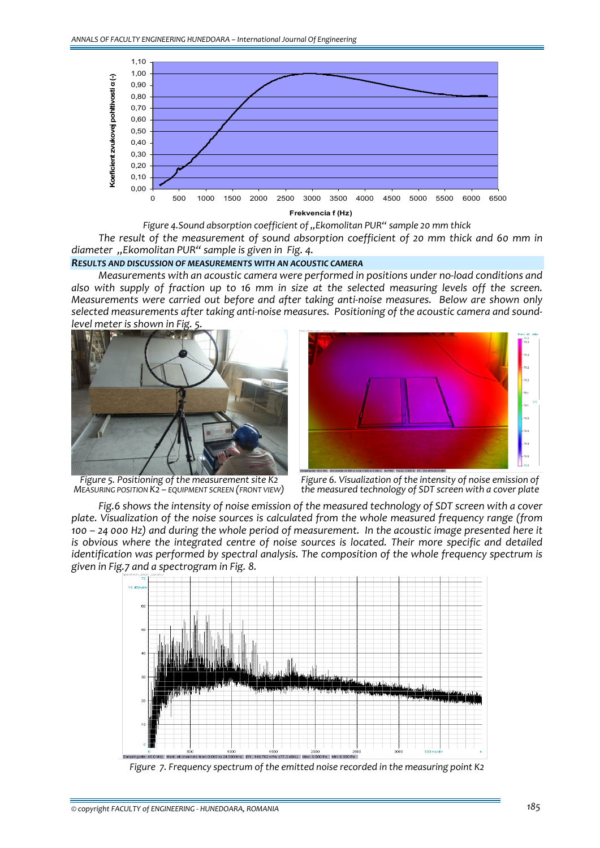

*Figure 4.Sound absorption coefficient of "Ekomolitan PUR" sample 20 mm thick*

*The result of the measurement of sound absorption coefficient of 20 mm thick and 60 mm in diameter "Ekomolitan PUR" sample is given in Fig. 4.*

# *RESULTS AND DISCUSSION OF MEASUREMENTS WITH AN ACOUSTIC CAMERA*

*Measurements with an acoustic camera were performed in positions under no‐load conditions and* also with supply of fraction up to 16 mm in size at the selected measuring levels off the screen. *Measurements were carried out before and after taking anti‐noise measures. Below are shown only selected measurements after taking anti‐noise measures. Positioning of the acoustic camera and sound‐ level meter is shown in Fig. 5.*





*Figure 5. Positioning of the measurement site K2 MEASURING POSITION K2 – EQUIPMENT SCREEN (FRONT VIEW)*



*Fig.6 shows the intensity of noise emission of the measured technology of SDT screen with a cover plate. Visualization of the noise sources is calculated from the whole measured frequency range (from* 100 - 24 000 Hz) and during the whole period of measurement. In the acoustic image presented here it *is obvious where the integrated centre of noise sources is located. Their more specific and detailed identification was performed by spectral analysis. The composition of the whole frequency spectrum is given in Fig.7 and a spectrogram in Fig. 8.*



*Figure 7. Frequency spectrum of the emitted noise recorded in the measuring point K2*